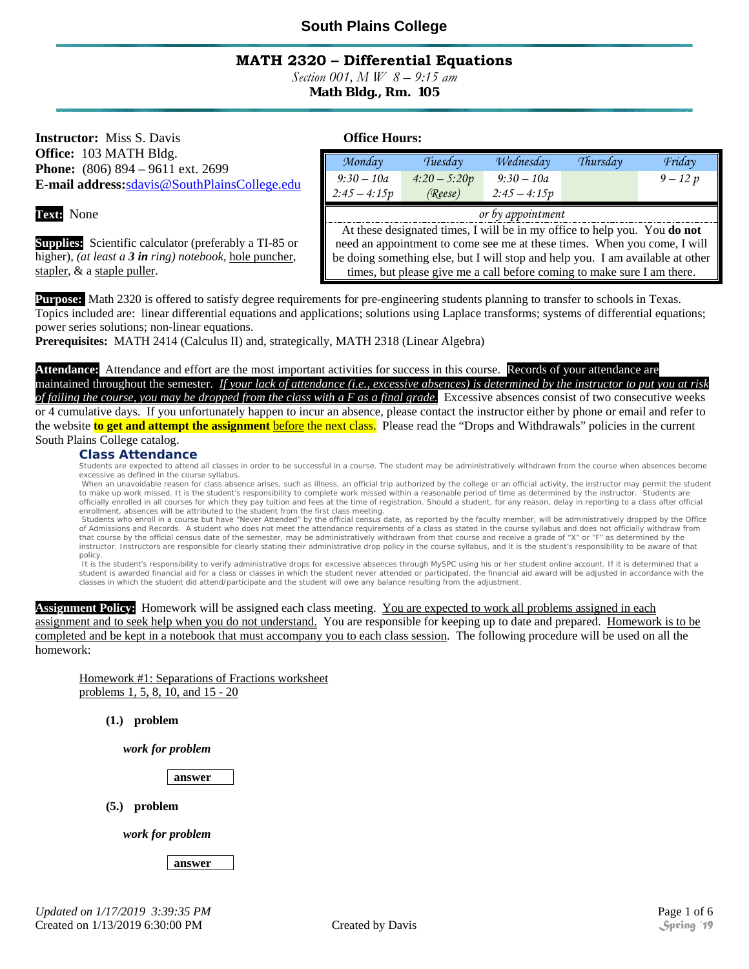### **MATH 2320 – Differential Equations**

*Section 001, M W 8 – 9:15 am* 

**Math Bldg., Rm. 105** 

**Instructor:** Miss S. Davis **Conservery Office Hours: Office Hours: Office:** 103 MATH Bldg. **Phone:** (806) 894 – 9611 ext. 2699 **E-mail address:**sdavis@SouthPlainsCollege.edu

**Text:** None

**Supplies:** Scientific calculator (preferably a TI-85 or higher), *(at least a 3 in ring) notebook,* hole puncher, stapler, & a staple puller.

| Monday                                                                         | Tuesday        | Wednesday      | Thursday | Friday     |  |
|--------------------------------------------------------------------------------|----------------|----------------|----------|------------|--|
| $9:30 - 10a$                                                                   | $4:20 - 5:20p$ | $9:30 - 10a$   |          | $9 - 12 p$ |  |
| $2:45 - 4:15p$                                                                 | (Reese)        | $2:45 - 4:15p$ |          |            |  |
| or by appointment                                                              |                |                |          |            |  |
| At these designated times, I will be in my office to help you. You do not      |                |                |          |            |  |
| need an appointment to come see me at these times. When you come, I will       |                |                |          |            |  |
| be doing something else, but I will stop and help you. I am available at other |                |                |          |            |  |
| times, but please give me a call before coming to make sure I am there.        |                |                |          |            |  |

**Purpose:** Math 2320 is offered to satisfy degree requirements for pre-engineering students planning to transfer to schools in Texas. Topics included are: linear differential equations and applications; solutions using Laplace transforms; systems of differential equations; power series solutions; non-linear equations.

**Prerequisites:** MATH 2414 (Calculus II) and, strategically, MATH 2318 (Linear Algebra)

**Attendance:** Attendance and effort are the most important activities for success in this course. Records of your attendance are maintained throughout the semester. *If your lack of attendance (i.e., excessive absences) is determined by the instructor to put you at risk of failing the course, you may be dropped from the class with a F as a final grade.* Excessive absences consist of two consecutive weeks or 4 cumulative days. If you unfortunately happen to incur an absence, please contact the instructor either by phone or email and refer to the website **to get and attempt the assignment** before the next class. Please read the "Drops and Withdrawals" policies in the current South Plains College catalog.

Class Attendance<br>Students are expected to attend all classes in order to be successful in a course. The student may be administratively withdrawn from the course when absences become excessive as defined in the course syllabus.

When an unavoidable reason for class absence arises, such as illness, an official trip authorized by the college or an official activity, the instructor may permit the student to make up work missed. It is the student's responsibility to complete work missed within a reasonable period of time as determined by the instructor. Students are officially enrolled in all courses for which they pay tuition and fees at the time of registration. Should a student, for any reason, delay in reporting to a class after official enrollment, absences will be attributed to the student from the first class meeting.

 Students who enroll in a course but have "Never Attended" by the official census date, as reported by the faculty member, will be administratively dropped by the Office of Admissions and Records. A student who does not meet the attendance requirements of a class as stated in the course syllabus and does not officially withdraw from that course by the official census date of the semester, may be administratively withdrawn from that course and receive a grade of "X" or "F" as determined by the instructor. Instructors are responsible for clearly stating their administrative drop policy in the course syllabus, and it is the student's responsibility to be aware of that policy.

It is the student's responsibility to verify administrative drops for excessive absences through MySPC using his or her student online account. If it is determined that a student is awarded financial aid for a class or classes in which the student never attended or participated, the financial aid award will be adjusted in accordance with the classes in which the student did attend/participate and the student will owe any balance resulting from the adjustment.

**Assignment Policy:** Homework will be assigned each class meeting. You are expected to work all problems assigned in each assignment and to seek help when you do not understand. You are responsible for keeping up to date and prepared. Homework is to be completed and be kept in a notebook that must accompany you to each class session. The following procedure will be used on all the homework:

Homework #1: Separations of Fractions worksheet problems 1, 5, 8, 10, and 15 - 20

**(1.) problem** 

*work for problem* 

**answer** 

**(5.) problem** 

*work for problem* 

**answer**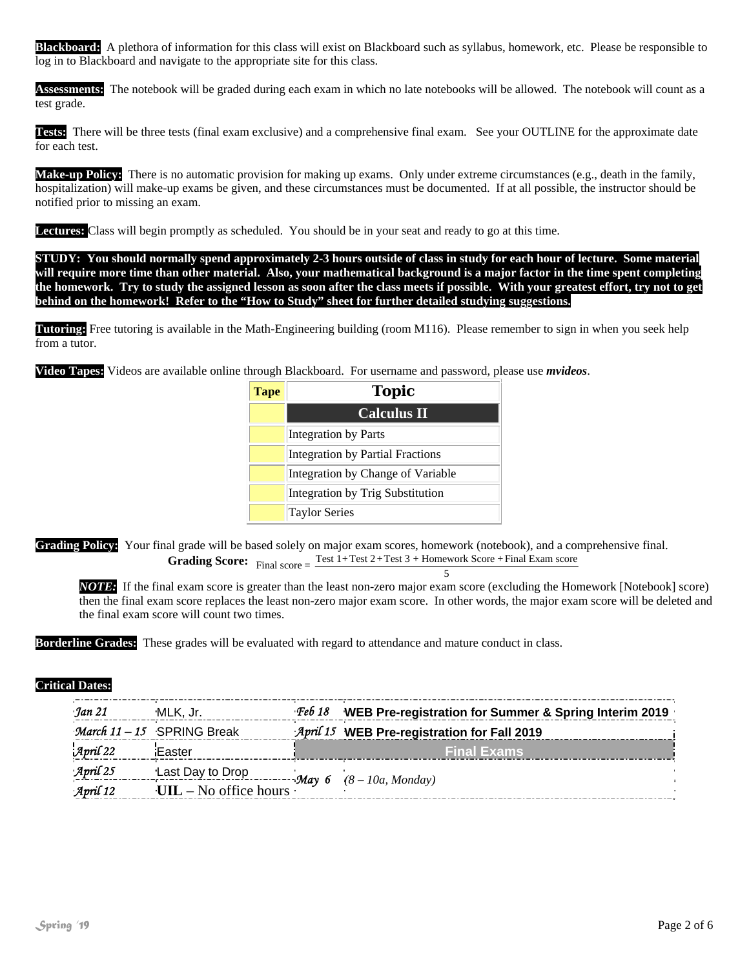**Blackboard:** A plethora of information for this class will exist on Blackboard such as syllabus, homework, etc. Please be responsible to log in to Blackboard and navigate to the appropriate site for this class.

**Assessments:** The notebook will be graded during each exam in which no late notebooks will be allowed. The notebook will count as a test grade.

**Tests:** There will be three tests (final exam exclusive) and a comprehensive final exam. See your OUTLINE for the approximate date for each test.

**Make-up Policy:** There is no automatic provision for making up exams. Only under extreme circumstances (e.g., death in the family, hospitalization) will make-up exams be given, and these circumstances must be documented. If at all possible, the instructor should be notified prior to missing an exam.

**Lectures:** Class will begin promptly as scheduled. You should be in your seat and ready to go at this time.

**STUDY: You should normally spend approximately 2-3 hours outside of class in study for each hour of lecture. Some material will require more time than other material. Also, your mathematical background is a major factor in the time spent completing the homework. Try to study the assigned lesson as soon after the class meets if possible. With your greatest effort, try not to get behind on the homework! Refer to the "How to Study" sheet for further detailed studying suggestions.**

**Tutoring:** Free tutoring is available in the Math-Engineering building (room M116). Please remember to sign in when you seek help from a tutor.

**Video Tapes:** Videos are available online through Blackboard. For username and password, please use *mvideos*.

| <b>Tape</b> | <b>Topic</b>                      |
|-------------|-----------------------------------|
|             | <b>Calculus II</b>                |
|             | Integration by Parts              |
|             | Integration by Partial Fractions  |
|             | Integration by Change of Variable |
|             | Integration by Trig Substitution  |
|             | <b>Taylor Series</b>              |

**Grading Policy:** Your final grade will be based solely on major exam scores, homework (notebook), and a comprehensive final. **Grading Score:** Final score =  $\frac{\text{Test 1+Test 2+Test 3 + Homework Score + Final Exam score}}{5}$ 

*NOTE:* If the final exam score is greater than the least non-zero major exam score (excluding the Homework [Notebook] score) then the final exam score replaces the least non-zero major exam score. In other words, the major exam score will be deleted and the final exam score will count two times.

**Borderline Grades:** These grades will be evaluated with regard to attendance and mature conduct in class.

#### **Critical Dates:**

| Jan 21                | MLK, Jr.                       | <b>Feb 18</b> | WEB Pre-registration for Summer & Spring Interim 2019 |
|-----------------------|--------------------------------|---------------|-------------------------------------------------------|
|                       | March 11 - 15 SPRING Break     |               | April 15 WEB Pre-registration for Fall 2019           |
| $\mathcal{A}$ pril 22 | Easter                         |               | <b>Final Exams</b>                                    |
| April 25              | Last Day to Drop               |               |                                                       |
| April 12              | $UL - No$ office hours $\cdot$ |               | $\lnot \mathcal{M}$ ay 6 (8 – 10a, Monday)            |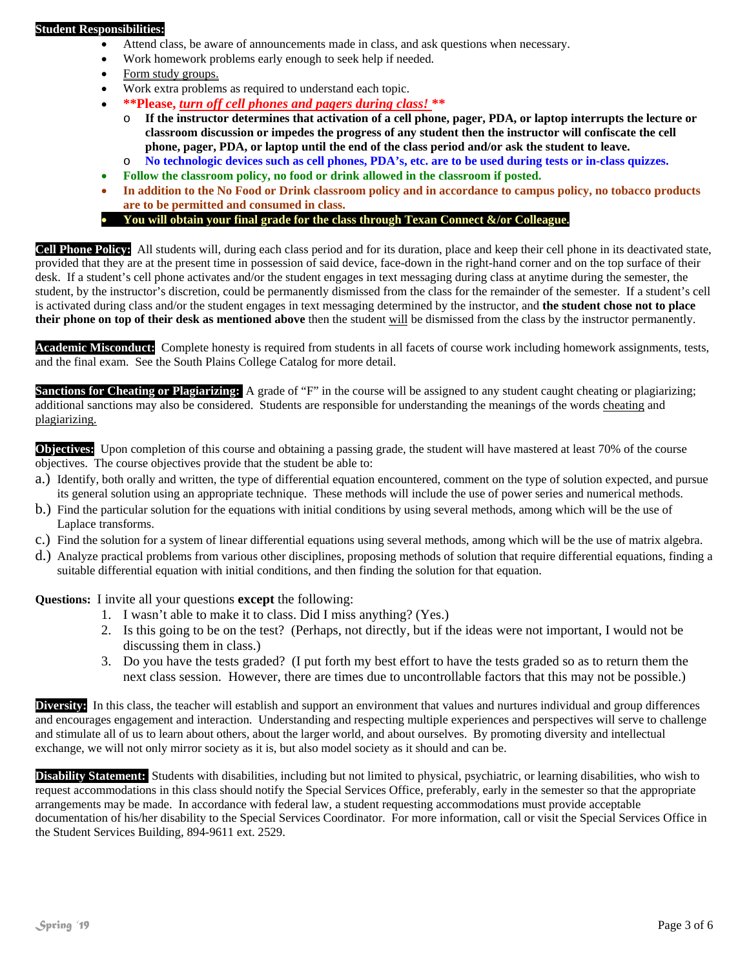#### **Student Responsibilities:**

- Attend class, be aware of announcements made in class, and ask questions when necessary.
- Work homework problems early enough to seek help if needed.
- Form study groups.
- Work extra problems as required to understand each topic.
- **\*\*Please,** *turn off cell phones and pagers during class!* **\*\***
	- o **If the instructor determines that activation of a cell phone, pager, PDA, or laptop interrupts the lecture or classroom discussion or impedes the progress of any student then the instructor will confiscate the cell phone, pager, PDA, or laptop until the end of the class period and/or ask the student to leave.**
	- o **No technologic devices such as cell phones, PDA's, etc. are to be used during tests or in-class quizzes.**
	- **Follow the classroom policy, no food or drink allowed in the classroom if posted.**
- **In addition to the No Food or Drink classroom policy and in accordance to campus policy, no tobacco products are to be permitted and consumed in class.**
- You will obtain your final grade for the class through Texan Connect &/or Colleague.

**Cell Phone Policy:** All students will, during each class period and for its duration, place and keep their cell phone in its deactivated state, provided that they are at the present time in possession of said device, face-down in the right-hand corner and on the top surface of their desk. If a student's cell phone activates and/or the student engages in text messaging during class at anytime during the semester, the student, by the instructor's discretion, could be permanently dismissed from the class for the remainder of the semester. If a student's cell is activated during class and/or the student engages in text messaging determined by the instructor, and **the student chose not to place their phone on top of their desk as mentioned above** then the student will be dismissed from the class by the instructor permanently.

**Academic Misconduct:** Complete honesty is required from students in all facets of course work including homework assignments, tests, and the final exam. See the South Plains College Catalog for more detail.

**Sanctions for Cheating or Plagiarizing:** A grade of "F" in the course will be assigned to any student caught cheating or plagiarizing; additional sanctions may also be considered. Students are responsible for understanding the meanings of the words cheating and plagiarizing.

**Objectives:** Upon completion of this course and obtaining a passing grade, the student will have mastered at least 70% of the course objectives. The course objectives provide that the student be able to:

- a.) Identify, both orally and written, the type of differential equation encountered, comment on the type of solution expected, and pursue its general solution using an appropriate technique. These methods will include the use of power series and numerical methods.
- b.) Find the particular solution for the equations with initial conditions by using several methods, among which will be the use of Laplace transforms.
- c.) Find the solution for a system of linear differential equations using several methods, among which will be the use of matrix algebra.
- d.) Analyze practical problems from various other disciplines, proposing methods of solution that require differential equations, finding a suitable differential equation with initial conditions, and then finding the solution for that equation.

**Questions:** I invite all your questions **except** the following:

- 1. I wasn't able to make it to class. Did I miss anything? (Yes.)
- 2. Is this going to be on the test? (Perhaps, not directly, but if the ideas were not important, I would not be discussing them in class.)
- 3. Do you have the tests graded? (I put forth my best effort to have the tests graded so as to return them the next class session. However, there are times due to uncontrollable factors that this may not be possible.)

**Diversity:** In this class, the teacher will establish and support an environment that values and nurtures individual and group differences and encourages engagement and interaction. Understanding and respecting multiple experiences and perspectives will serve to challenge and stimulate all of us to learn about others, about the larger world, and about ourselves. By promoting diversity and intellectual exchange, we will not only mirror society as it is, but also model society as it should and can be.

**Disability Statement:** Students with disabilities, including but not limited to physical, psychiatric, or learning disabilities, who wish to request accommodations in this class should notify the Special Services Office, preferably, early in the semester so that the appropriate arrangements may be made. In accordance with federal law, a student requesting accommodations must provide acceptable documentation of his/her disability to the Special Services Coordinator. For more information, call or visit the Special Services Office in the Student Services Building, 894-9611 ext. 2529.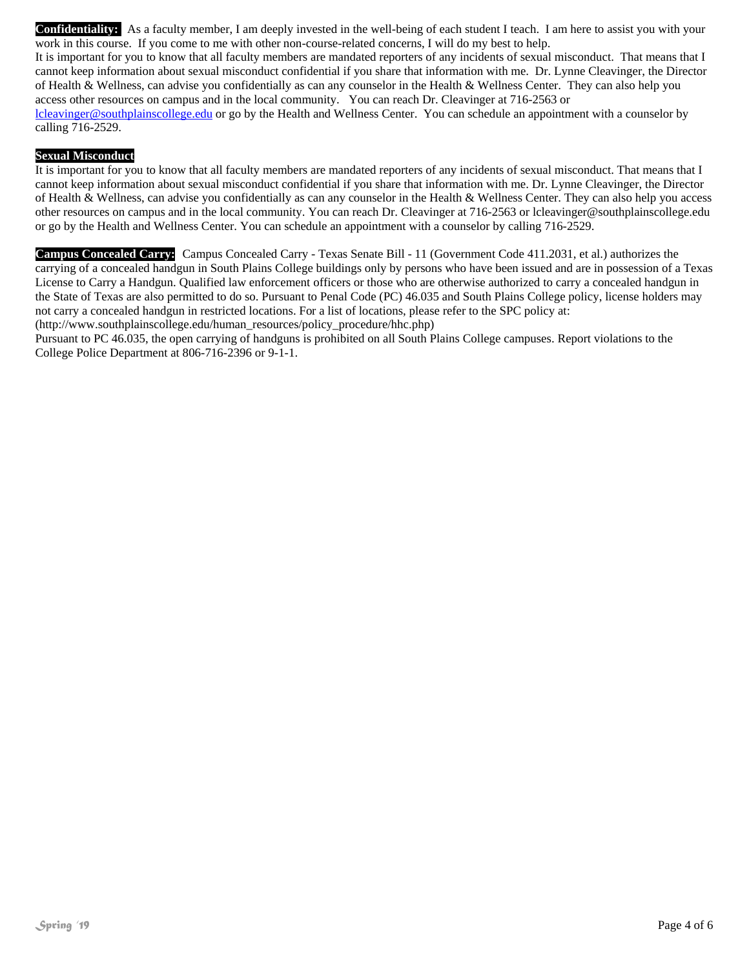**Confidentiality:** As a faculty member, I am deeply invested in the well-being of each student I teach. I am here to assist you with your work in this course. If you come to me with other non-course-related concerns, I will do my best to help.

It is important for you to know that all faculty members are mandated reporters of any incidents of sexual misconduct. That means that I cannot keep information about sexual misconduct confidential if you share that information with me. Dr. Lynne Cleavinger, the Director of Health & Wellness, can advise you confidentially as can any counselor in the Health & Wellness Center. They can also help you access other resources on campus and in the local community. You can reach Dr. Cleavinger at 716-2563 or lcleavinger@southplainscollege.edu or go by the Health and Wellness Center. You can schedule an appointment with a counselor by calling 716-2529.

#### **Sexual Misconduct**

It is important for you to know that all faculty members are mandated reporters of any incidents of sexual misconduct. That means that I cannot keep information about sexual misconduct confidential if you share that information with me. Dr. Lynne Cleavinger, the Director of Health & Wellness, can advise you confidentially as can any counselor in the Health & Wellness Center. They can also help you access other resources on campus and in the local community. You can reach Dr. Cleavinger at 716-2563 or lcleavinger@southplainscollege.edu or go by the Health and Wellness Center. You can schedule an appointment with a counselor by calling 716-2529.

**Campus Concealed Carry:** Campus Concealed Carry - Texas Senate Bill - 11 (Government Code 411.2031, et al.) authorizes the carrying of a concealed handgun in South Plains College buildings only by persons who have been issued and are in possession of a Texas License to Carry a Handgun. Qualified law enforcement officers or those who are otherwise authorized to carry a concealed handgun in the State of Texas are also permitted to do so. Pursuant to Penal Code (PC) 46.035 and South Plains College policy, license holders may not carry a concealed handgun in restricted locations. For a list of locations, please refer to the SPC policy at:

(http://www.southplainscollege.edu/human\_resources/policy\_procedure/hhc.php)

Pursuant to PC 46.035, the open carrying of handguns is prohibited on all South Plains College campuses. Report violations to the College Police Department at 806-716-2396 or 9-1-1.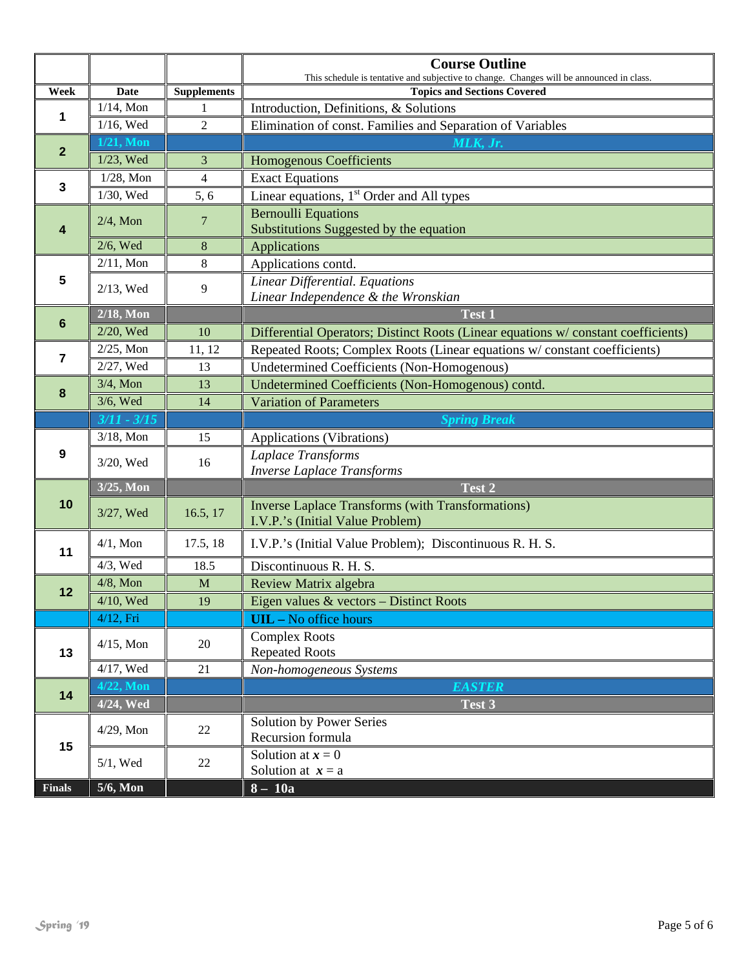|                  |                               |                    | <b>Course Outline</b><br>This schedule is tentative and subjective to change. Changes will be announced in class. |
|------------------|-------------------------------|--------------------|-------------------------------------------------------------------------------------------------------------------|
| Week             | <b>Date</b>                   | <b>Supplements</b> | <b>Topics and Sections Covered</b>                                                                                |
| 1                | $1/14$ , Mon                  | 1                  | Introduction, Definitions, & Solutions                                                                            |
|                  | $1/16$ , Wed                  | $\overline{2}$     | Elimination of const. Families and Separation of Variables                                                        |
| $\mathbf{2}$     | $1/21$ , Mon                  |                    | MLK, Jr.                                                                                                          |
|                  | 1/23, Wed                     | $\overline{3}$     | <b>Homogenous Coefficients</b>                                                                                    |
| $\mathbf 3$      | $1/28$ , Mon                  | $\overline{4}$     | <b>Exact Equations</b>                                                                                            |
|                  | 1/30, Wed                     | 5, 6               | Linear equations, 1 <sup>st</sup> Order and All types                                                             |
| 4                | $\overline{7}$<br>$2/4$ , Mon |                    | <b>Bernoulli Equations</b>                                                                                        |
|                  |                               |                    | Substitutions Suggested by the equation                                                                           |
|                  | $2/6$ , Wed                   | 8                  | <b>Applications</b>                                                                                               |
|                  | $2/11$ , Mon                  | 8                  | Applications contd.                                                                                               |
| 5                | 2/13, Wed                     | 9                  | Linear Differential. Equations                                                                                    |
|                  |                               |                    | Linear Independence & the Wronskian                                                                               |
| $\boldsymbol{6}$ | $2/18$ , Mon                  |                    | Test 1                                                                                                            |
|                  | 2/20, Wed                     | 10                 | Differential Operators; Distinct Roots (Linear equations w/constant coefficients)                                 |
| 7                | $2/25$ , Mon                  | 11, 12             | Repeated Roots; Complex Roots (Linear equations w/constant coefficients)                                          |
|                  | 2/27, Wed                     | 13                 | <b>Undetermined Coefficients (Non-Homogenous)</b>                                                                 |
| 8                | $3/4$ , Mon                   | 13                 | Undetermined Coefficients (Non-Homogenous) contd.                                                                 |
|                  | $3/6$ , Wed                   | 14                 | <b>Variation of Parameters</b>                                                                                    |
|                  | $3/11 - 3/15$                 |                    | <b>Spring Break</b>                                                                                               |
|                  | $3/18$ , Mon                  | 15                 | Applications (Vibrations)                                                                                         |
| 9                | 3/20, Wed                     | 16                 | Laplace Transforms                                                                                                |
|                  |                               |                    | <b>Inverse Laplace Transforms</b>                                                                                 |
|                  | 3/25, Mon                     |                    | Test 2                                                                                                            |
| 10               | 3/27, Wed                     | 16.5, 17           | <b>Inverse Laplace Transforms (with Transformations)</b><br>I.V.P.'s (Initial Value Problem)                      |
|                  |                               |                    |                                                                                                                   |
| 11               | $4/1$ , Mon                   | 17.5, 18           | I.V.P.'s (Initial Value Problem); Discontinuous R. H. S.                                                          |
|                  | $4/3$ , Wed                   | 18.5               | Discontinuous R. H. S.                                                                                            |
| 12               | $4/8$ , Mon                   | M                  | Review Matrix algebra                                                                                             |
|                  | 4/10, Wed                     | 19                 | Eigen values $&$ vectors – Distinct Roots                                                                         |
|                  | 4/12, Fri                     |                    | <b>UIL</b> - No office hours                                                                                      |
| 13               | $4/15$ , Mon                  | 20                 | <b>Complex Roots</b>                                                                                              |
|                  |                               |                    | <b>Repeated Roots</b>                                                                                             |
|                  | $4/17$ , Wed                  | 21                 | Non-homogeneous Systems                                                                                           |
| 14               | $\overline{4/22}$ , Mon       |                    | <b>EASTER</b>                                                                                                     |
|                  | 4/24, Wed                     |                    | Test 3                                                                                                            |
| 15               | $4/29$ , Mon                  | 22                 | Solution by Power Series                                                                                          |
|                  |                               |                    | Recursion formula                                                                                                 |
|                  | $5/1$ , Wed<br>22             |                    | Solution at $x = 0$                                                                                               |
|                  | 5/6, Mon                      |                    | Solution at $x = a$                                                                                               |
| <b>Finals</b>    |                               |                    | $8 - 10a$                                                                                                         |